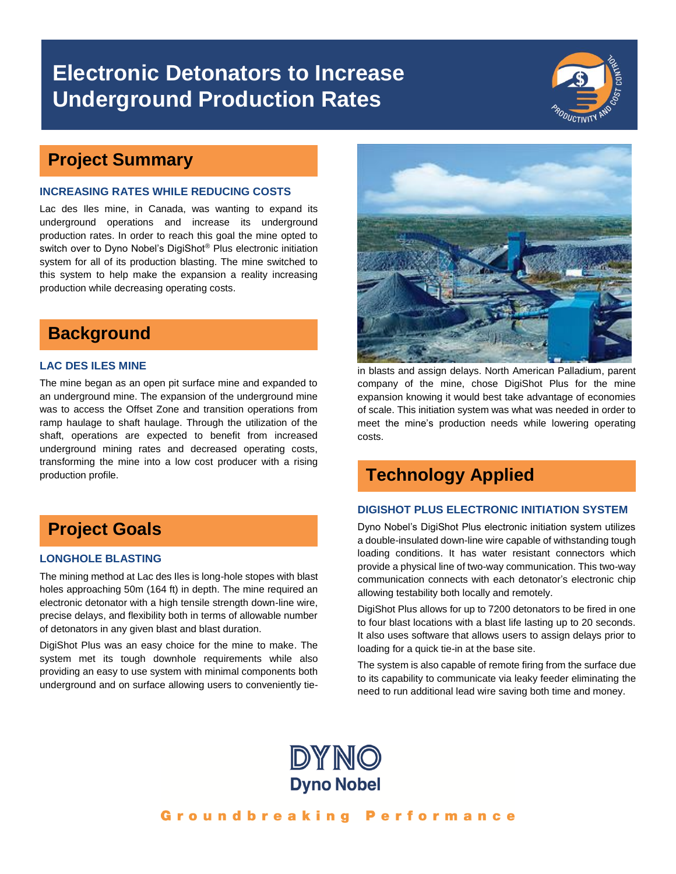# **Electronic Detonators to Increase Underground Production Rates**



### **Project Summary**

#### **INCREASING RATES WHILE REDUCING COSTS**

Lac des Iles mine, in Canada, was wanting to expand its underground operations and increase its underground production rates. In order to reach this goal the mine opted to switch over to Dyno Nobel's DigiShot® Plus electronic initiation system for all of its production blasting. The mine switched to this system to help make the expansion a reality increasing production while decreasing operating costs.

### **Background**

#### **LAC DES ILES MINE**

The mine began as an open pit surface mine and expanded to an underground mine. The expansion of the underground mine was to access the Offset Zone and transition operations from ramp haulage to shaft haulage. Through the utilization of the shaft, operations are expected to benefit from increased underground mining rates and decreased operating costs, transforming the mine into a low cost producer with a rising production profile.

## **Project Goals**

#### **LONGHOLE BLASTING**

The mining method at Lac des Iles is long-hole stopes with blast holes approaching 50m (164 ft) in depth. The mine required an electronic detonator with a high tensile strength down-line wire, precise delays, and flexibility both in terms of allowable number of detonators in any given blast and blast duration.

DigiShot Plus was an easy choice for the mine to make. The system met its tough downhole requirements while also providing an easy to use system with minimal components both underground and on surface allowing users to conveniently tie-



in blasts and assign delays. North American Palladium, parent company of the mine, chose DigiShot Plus for the mine expansion knowing it would best take advantage of economies of scale. This initiation system was what was needed in order to meet the mine's production needs while lowering operating costs.

### **Technology Applied**

#### **DIGISHOT PLUS ELECTRONIC INITIATION SYSTEM**

Dyno Nobel's DigiShot Plus electronic initiation system utilizes a double-insulated down-line wire capable of withstanding tough loading conditions. It has water resistant connectors which provide a physical line of two-way communication. This two-way communication connects with each detonator's electronic chip allowing testability both locally and remotely.

DigiShot Plus allows for up to 7200 detonators to be fired in one to four blast locations with a blast life lasting up to 20 seconds. It also uses software that allows users to assign delays prior to loading for a quick tie-in at the base site.

The system is also capable of remote firing from the surface due to its capability to communicate via leaky feeder eliminating the need to run additional lead wire saving both time and money.